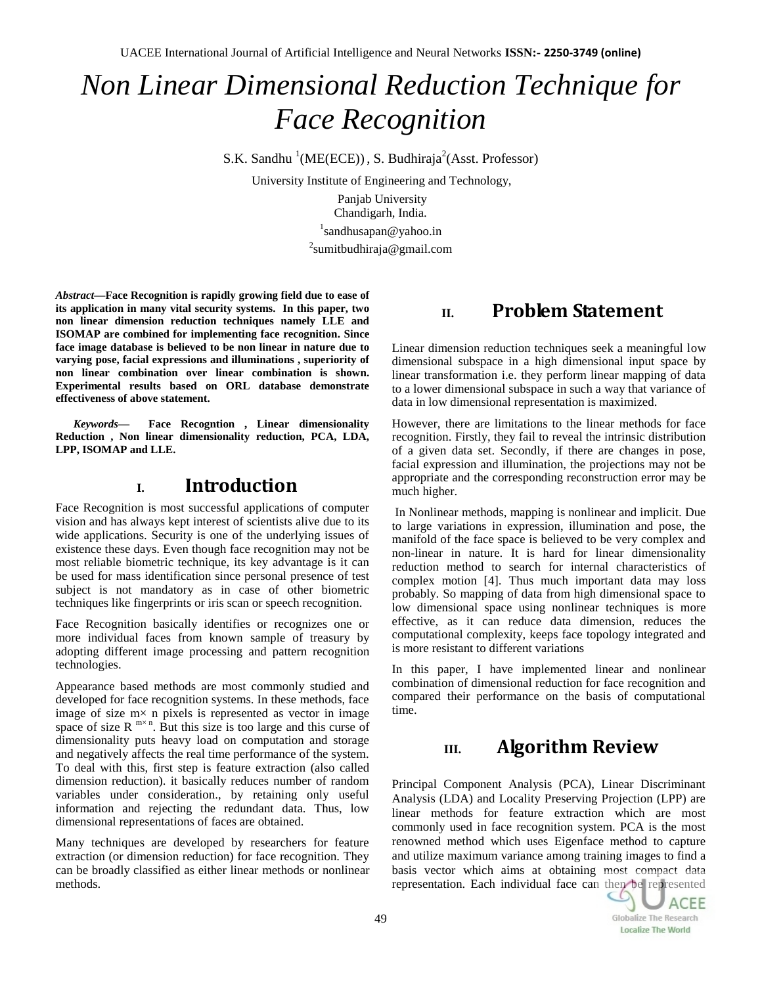UACEE International Journal of Artificial Intelligence and Neural Networks **ISSN:- 2250-3749 (online)**

# *Non Linear Dimensional Reduction Technique for Face Recognition*

S.K. Sandhu <sup>1</sup>(ME(ECE)), S. Budhiraja<sup>2</sup>(Asst. Professor)

University Institute of Engineering and Technology,

Panjab University Chandigarh, India. <sup>1</sup>sandhusapan@yahoo.in <sup>2</sup>sumitbudhiraja@gmail.com

*Abstract***—Face Recognition is rapidly growing field due to ease of its application in many vital security systems. In this paper, two non linear dimension reduction techniques namely LLE and ISOMAP are combined for implementing face recognition. Since face image database is believed to be non linear in nature due to varying pose, facial expressions and illuminations , superiority of non linear combination over linear combination is shown. Experimental results based on ORL database demonstrate effectiveness of above statement.**

*Keywords—* **Face Recogntion , Linear dimensionality Reduction , Non linear dimensionality reduction, PCA, LDA, LPP, ISOMAP and LLE.**

#### **I. Introduction**

Face Recognition is most successful applications of computer vision and has always kept interest of scientists alive due to its wide applications. Security is one of the underlying issues of existence these days. Even though face recognition may not be most reliable biometric technique, its key advantage is it can be used for mass identification since personal presence of test subject is not mandatory as in case of other biometric techniques like fingerprints or iris scan or speech recognition.

Face Recognition basically identifies or recognizes one or more individual faces from known sample of treasury by adopting different image processing and pattern recognition technologies.

Appearance based methods are most commonly studied and developed for face recognition systems. In these methods, face image of size m× n pixels is represented as vector in image space of size R  $m \times n$ . But this size is too large and this curse of dimensionality puts heavy load on computation and storage and negatively affects the real time performance of the system. To deal with this, first step is feature extraction (also called dimension reduction). it basically reduces number of random variables under consideration., by retaining only useful information and rejecting the redundant data. Thus, low dimensional representations of faces are obtained.

Many techniques are developed by researchers for feature extraction (or dimension reduction) for face recognition. They can be broadly classified as either linear methods or nonlinear methods.

## **II. Problem Statement**

Linear dimension reduction techniques seek a meaningful low dimensional subspace in a high dimensional input space by linear transformation i.e. they perform linear mapping of data to a lower dimensional subspace in such a way that variance of data in low dimensional representation is maximized.

However, there are limitations to the linear methods for face recognition. Firstly, they fail to reveal the intrinsic distribution of a given data set. Secondly, if there are changes in pose, facial expression and illumination, the projections may not be appropriate and the corresponding reconstruction error may be much higher.

In Nonlinear methods, mapping is nonlinear and implicit. Due to large variations in expression, illumination and pose, the manifold of the face space is believed to be very complex and non-linear in nature. It is hard for linear dimensionality reduction method to search for internal characteristics of complex motion [4]. Thus much important data may loss probably. So mapping of data from high dimensional space to low dimensional space using nonlinear techniques is more effective, as it can reduce data dimension, reduces the computational complexity, keeps face topology integrated and is more resistant to different variations

In this paper, I have implemented linear and nonlinear combination of dimensional reduction for face recognition and compared their performance on the basis of computational time.

# **III. Algorithm Review**

Principal Component Analysis (PCA), Linear Discriminant Analysis (LDA) and Locality Preserving Projection (LPP) are linear methods for feature extraction which are most commonly used in face recognition system. PCA is the most renowned method which uses Eigenface method to capture and utilize maximum variance among training images to find a basis vector which aims at obtaining most compact data representation. Each individual face can then be represented

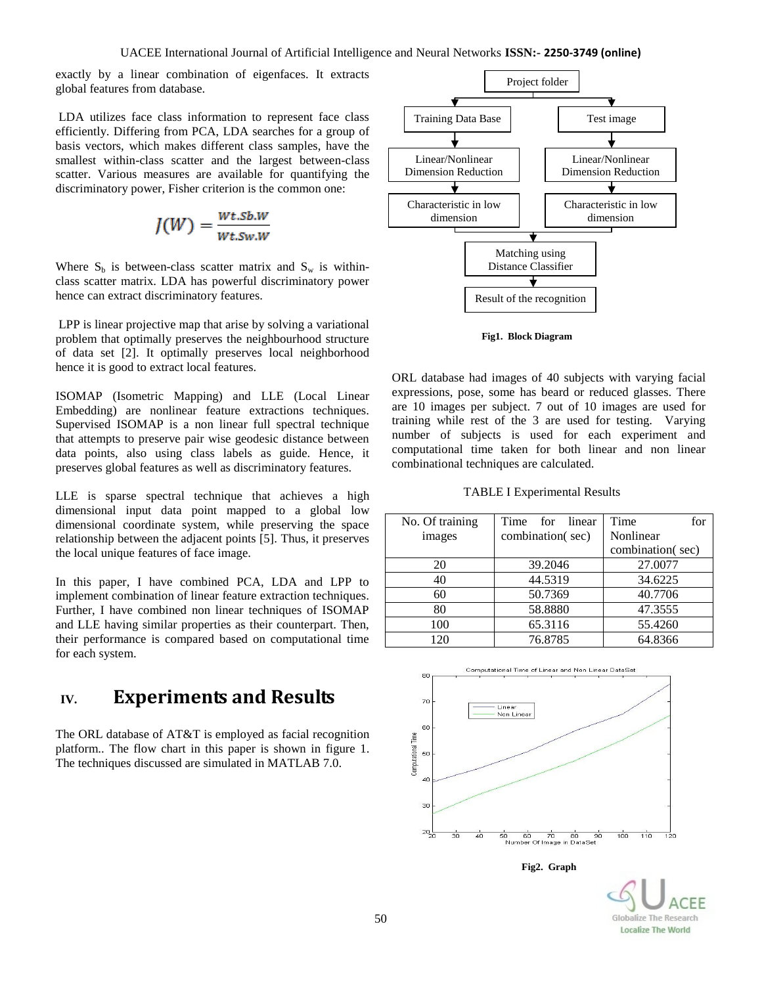exactly by a linear combination of eigenfaces. It extracts global features from database.

LDA utilizes face class information to represent face class efficiently. Differing from PCA, LDA searches for a group of basis vectors, which makes different class samples, have the smallest within-class scatter and the largest between-class scatter. Various measures are available for quantifying the discriminatory power, Fisher criterion is the common one:

$$
J(W) = \frac{Wt.Sb.W}{Wt.Sw.W}
$$

Where  $S_b$  is between-class scatter matrix and  $S_w$  is withinclass scatter matrix. LDA has powerful discriminatory power hence can extract discriminatory features.

LPP is linear projective map that arise by solving a variational problem that optimally preserves the neighbourhood structure of data set [2]. It optimally preserves local neighborhood hence it is good to extract local features.

ISOMAP (Isometric Mapping) and LLE (Local Linear Embedding) are nonlinear feature extractions techniques. Supervised ISOMAP is a non linear full spectral technique that attempts to preserve pair wise geodesic distance between data points, also using class labels as guide. Hence, it preserves global features as well as discriminatory features.

LLE is sparse spectral technique that achieves a high dimensional input data point mapped to a global low dimensional coordinate system, while preserving the space relationship between the adjacent points [5]. Thus, it preserves the local unique features of face image.

In this paper, I have combined PCA, LDA and LPP to implement combination of linear feature extraction techniques. Further, I have combined non linear techniques of ISOMAP and LLE having similar properties as their counterpart. Then, their performance is compared based on computational time for each system.

## **IV. Experiments and Results**

The ORL database of AT&T is employed as facial recognition platform.. The flow chart in this paper is shown in figure 1. The techniques discussed are simulated in MATLAB 7.0.





ORL database had images of 40 subjects with varying facial expressions, pose, some has beard or reduced glasses. There are 10 images per subject. 7 out of 10 images are used for training while rest of the 3 are used for testing. Varying number of subjects is used for each experiment and computational time taken for both linear and non linear combinational techniques are calculated.

TABLE I Experimental Results

| No. Of training | Time<br>for linear | Time<br>for      |
|-----------------|--------------------|------------------|
| images          | combination(sec)   | Nonlinear        |
|                 |                    | combination(sec) |
| 20              | 39.2046            | 27.0077          |
| 40              | 44.5319            | 34.6225          |
| 60              | 50.7369            | 40.7706          |
| 80              | 58.8880            | 47.3555          |
| 100             | 65.3116            | 55.4260          |
| 120             | 76.8785            | 64.8366          |